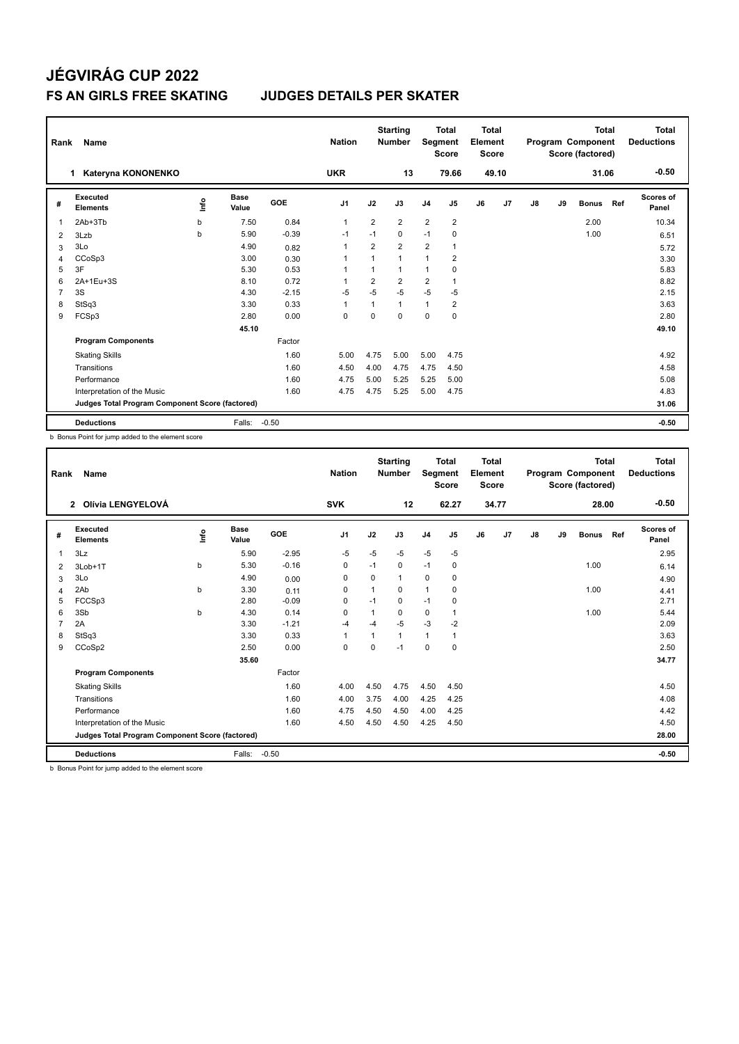| Rank           | Name                                            |      |                      |         | <b>Nation</b>            |                | <b>Starting</b><br><b>Number</b> | Segment        | <b>Total</b><br><b>Score</b> | <b>Total</b><br>Element<br><b>Score</b> |                |    |    | Total<br>Program Component<br>Score (factored) |     | <b>Total</b><br><b>Deductions</b> |
|----------------|-------------------------------------------------|------|----------------------|---------|--------------------------|----------------|----------------------------------|----------------|------------------------------|-----------------------------------------|----------------|----|----|------------------------------------------------|-----|-----------------------------------|
|                | Kateryna KONONENKO<br>1                         |      |                      |         | <b>UKR</b>               |                | 13                               |                | 79.66                        |                                         | 49.10          |    |    | 31.06                                          |     | $-0.50$                           |
| #              | Executed<br><b>Elements</b>                     | lnfo | <b>Base</b><br>Value | GOE     | J <sub>1</sub>           | J2             | J3                               | J <sub>4</sub> | J <sub>5</sub>               | J6                                      | J <sub>7</sub> | J8 | J9 | <b>Bonus</b>                                   | Ref | <b>Scores of</b><br>Panel         |
| $\overline{1}$ | 2Ab+3Tb                                         | b    | 7.50                 | 0.84    | $\mathbf{1}$             | 2              | $\overline{2}$                   | $\overline{2}$ | $\overline{2}$               |                                         |                |    |    | 2.00                                           |     | 10.34                             |
| 2              | 3Lzb                                            | b    | 5.90                 | $-0.39$ | $-1$                     | $-1$           | 0                                | $-1$           | 0                            |                                         |                |    |    | 1.00                                           |     | 6.51                              |
| 3              | 3Lo                                             |      | 4.90                 | 0.82    | $\overline{1}$           | 2              | $\overline{2}$                   | $\overline{2}$ | $\mathbf{1}$                 |                                         |                |    |    |                                                |     | 5.72                              |
| 4              | CCoSp3                                          |      | 3.00                 | 0.30    | $\overline{1}$           | $\overline{1}$ | 1                                | $\overline{1}$ | 2                            |                                         |                |    |    |                                                |     | 3.30                              |
| 5              | 3F                                              |      | 5.30                 | 0.53    | $\overline{\phantom{a}}$ | 1              | 1                                | $\overline{1}$ | 0                            |                                         |                |    |    |                                                |     | 5.83                              |
| 6              | 2A+1Eu+3S                                       |      | 8.10                 | 0.72    |                          | $\overline{2}$ | $\overline{2}$                   | $\overline{2}$ | $\mathbf{1}$                 |                                         |                |    |    |                                                |     | 8.82                              |
| $\overline{7}$ | 3S                                              |      | 4.30                 | $-2.15$ | $-5$                     | $-5$           | $-5$                             | $-5$           | $-5$                         |                                         |                |    |    |                                                |     | 2.15                              |
| 8              | StSq3                                           |      | 3.30                 | 0.33    | $\overline{1}$           | 1              | 1                                | $\mathbf{1}$   | 2                            |                                         |                |    |    |                                                |     | 3.63                              |
| 9              | FCSp3                                           |      | 2.80                 | 0.00    | 0                        | $\Omega$       | $\Omega$                         | 0              | 0                            |                                         |                |    |    |                                                |     | 2.80                              |
|                |                                                 |      | 45.10                |         |                          |                |                                  |                |                              |                                         |                |    |    |                                                |     | 49.10                             |
|                | <b>Program Components</b>                       |      |                      | Factor  |                          |                |                                  |                |                              |                                         |                |    |    |                                                |     |                                   |
|                | <b>Skating Skills</b>                           |      |                      | 1.60    | 5.00                     | 4.75           | 5.00                             | 5.00           | 4.75                         |                                         |                |    |    |                                                |     | 4.92                              |
|                | Transitions                                     |      |                      | 1.60    | 4.50                     | 4.00           | 4.75                             | 4.75           | 4.50                         |                                         |                |    |    |                                                |     | 4.58                              |
|                | Performance                                     |      |                      | 1.60    | 4.75                     | 5.00           | 5.25                             | 5.25           | 5.00                         |                                         |                |    |    |                                                |     | 5.08                              |
|                | Interpretation of the Music                     |      |                      | 1.60    | 4.75                     | 4.75           | 5.25                             | 5.00           | 4.75                         |                                         |                |    |    |                                                |     | 4.83                              |
|                | Judges Total Program Component Score (factored) |      |                      |         |                          |                |                                  |                |                              |                                         |                |    |    |                                                |     | 31.06                             |
|                | <b>Deductions</b>                               |      | Falls:               | $-0.50$ |                          |                |                                  |                |                              |                                         |                |    |    |                                                |     | $-0.50$                           |

b Bonus Point for jump added to the element score

| Rank | Name                                            |      |               |         | <b>Nation</b>  |          | <b>Starting</b><br><b>Number</b> | Segment        | <b>Total</b><br><b>Score</b> | <b>Total</b><br>Element<br><b>Score</b> |       |               |    | <b>Total</b><br>Program Component<br>Score (factored) |     | <b>Total</b><br><b>Deductions</b> |
|------|-------------------------------------------------|------|---------------|---------|----------------|----------|----------------------------------|----------------|------------------------------|-----------------------------------------|-------|---------------|----|-------------------------------------------------------|-----|-----------------------------------|
|      | Olívia LENGYELOVÁ<br>$\mathbf{2}$               |      |               |         | <b>SVK</b>     |          | 12                               |                | 62.27                        |                                         | 34.77 |               |    | 28.00                                                 |     | $-0.50$                           |
| #    | Executed<br><b>Elements</b>                     | ١nf٥ | Base<br>Value | GOE     | J <sub>1</sub> | J2       | J3                               | J <sub>4</sub> | J5                           | J6                                      | J7    | $\mathsf{J}8$ | J9 | <b>Bonus</b>                                          | Ref | <b>Scores of</b><br>Panel         |
| 1    | 3Lz                                             |      | 5.90          | $-2.95$ | $-5$           | $-5$     | $-5$                             | $-5$           | $-5$                         |                                         |       |               |    |                                                       |     | 2.95                              |
| 2    | 3Lob+1T                                         | b    | 5.30          | $-0.16$ | $\mathbf 0$    | $-1$     | 0                                | $-1$           | 0                            |                                         |       |               |    | 1.00                                                  |     | 6.14                              |
| 3    | 3Lo                                             |      | 4.90          | 0.00    | 0              | 0        | 1                                | 0              | 0                            |                                         |       |               |    |                                                       |     | 4.90                              |
| 4    | 2Ab                                             | b    | 3.30          | 0.11    | $\Omega$       |          | $\Omega$                         | $\mathbf{1}$   | $\Omega$                     |                                         |       |               |    | 1.00                                                  |     | 4.41                              |
| 5    | FCCSp3                                          |      | 2.80          | $-0.09$ | $\mathbf 0$    | $-1$     | 0                                | $-1$           | $\mathbf 0$                  |                                         |       |               |    |                                                       |     | 2.71                              |
| 6    | 3Sb                                             | b    | 4.30          | 0.14    | $\Omega$       |          | $\Omega$                         | 0              | $\mathbf 1$                  |                                         |       |               |    | 1.00                                                  |     | 5.44                              |
| 7    | 2A                                              |      | 3.30          | $-1.21$ | $-4$           | $-4$     | $-5$                             | $-3$           | $-2$                         |                                         |       |               |    |                                                       |     | 2.09                              |
| 8    | StSq3                                           |      | 3.30          | 0.33    | $\mathbf{1}$   |          | 1                                | $\mathbf{1}$   | $\mathbf 1$                  |                                         |       |               |    |                                                       |     | 3.63                              |
| 9    | CCoSp2                                          |      | 2.50          | 0.00    | $\mathbf 0$    | $\Omega$ | $-1$                             | $\mathbf 0$    | $\mathbf 0$                  |                                         |       |               |    |                                                       |     | 2.50                              |
|      |                                                 |      | 35.60         |         |                |          |                                  |                |                              |                                         |       |               |    |                                                       |     | 34.77                             |
|      | <b>Program Components</b>                       |      |               | Factor  |                |          |                                  |                |                              |                                         |       |               |    |                                                       |     |                                   |
|      | <b>Skating Skills</b>                           |      |               | 1.60    | 4.00           | 4.50     | 4.75                             | 4.50           | 4.50                         |                                         |       |               |    |                                                       |     | 4.50                              |
|      | Transitions                                     |      |               | 1.60    | 4.00           | 3.75     | 4.00                             | 4.25           | 4.25                         |                                         |       |               |    |                                                       |     | 4.08                              |
|      | Performance                                     |      |               | 1.60    | 4.75           | 4.50     | 4.50                             | 4.00           | 4.25                         |                                         |       |               |    |                                                       |     | 4.42                              |
|      | Interpretation of the Music                     |      |               | 1.60    | 4.50           | 4.50     | 4.50                             | 4.25           | 4.50                         |                                         |       |               |    |                                                       |     | 4.50                              |
|      | Judges Total Program Component Score (factored) |      |               |         |                |          |                                  |                |                              |                                         |       |               |    |                                                       |     | 28.00                             |
|      | <b>Deductions</b>                               |      | Falls:        | $-0.50$ |                |          |                                  |                |                              |                                         |       |               |    |                                                       |     | $-0.50$                           |

b Bonus Point for jump added to the element score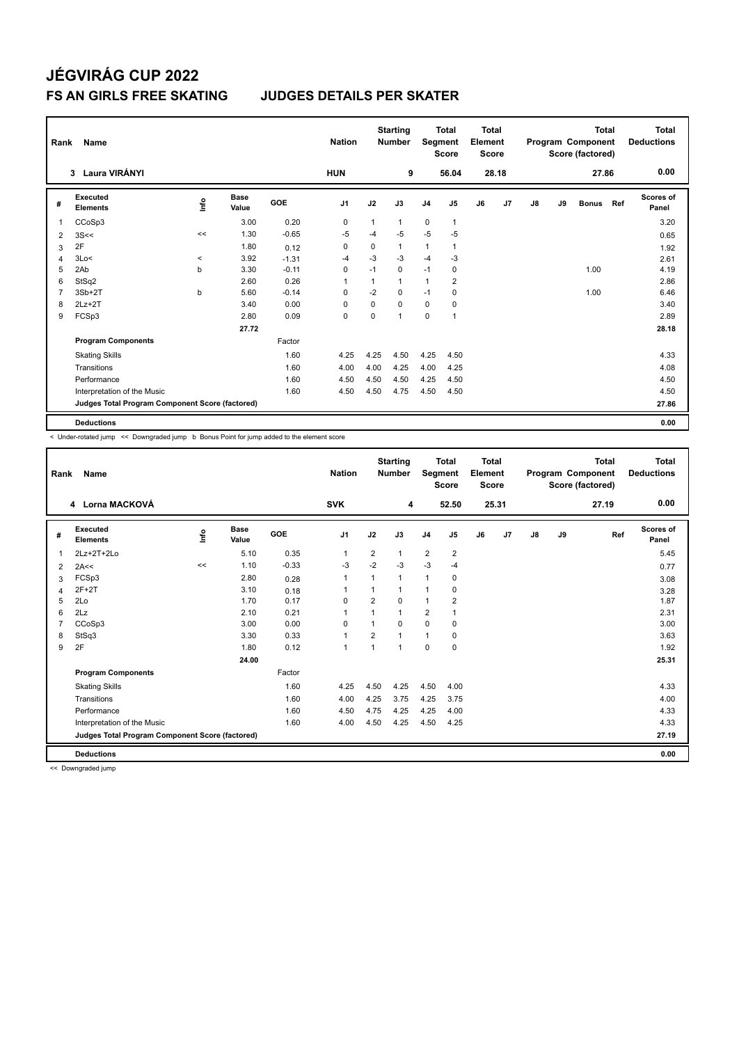| Rank           | <b>Name</b>                                     |         |                      |            | <b>Nation</b>  |          | <b>Starting</b><br><b>Number</b> |                | <b>Total</b><br>Segment<br><b>Score</b> | <b>Total</b><br>Element<br><b>Score</b> |       |               |    | <b>Total</b><br>Program Component<br>Score (factored) |     | <b>Total</b><br><b>Deductions</b> |
|----------------|-------------------------------------------------|---------|----------------------|------------|----------------|----------|----------------------------------|----------------|-----------------------------------------|-----------------------------------------|-------|---------------|----|-------------------------------------------------------|-----|-----------------------------------|
|                | Laura VIRÁNYI<br>$\mathbf{3}$                   |         |                      |            | <b>HUN</b>     |          | 9                                |                | 56.04                                   |                                         | 28.18 |               |    | 27.86                                                 |     | 0.00                              |
| #              | Executed<br><b>Elements</b>                     | ١nf٥    | <b>Base</b><br>Value | <b>GOE</b> | J <sub>1</sub> | J2       | J3                               | J <sub>4</sub> | J5                                      | J6                                      | J7    | $\mathsf{J}8$ | J9 | <b>Bonus</b>                                          | Ref | Scores of<br>Panel                |
| $\overline{1}$ | CCoSp3                                          |         | 3.00                 | 0.20       | 0              | 1        | $\mathbf{1}$                     | $\mathbf 0$    | $\mathbf{1}$                            |                                         |       |               |    |                                                       |     | 3.20                              |
| $\overline{2}$ | 3S<<                                            | <<      | 1.30                 | $-0.65$    | -5             | $-4$     | $-5$                             | $-5$           | $-5$                                    |                                         |       |               |    |                                                       |     | 0.65                              |
| 3              | 2F                                              |         | 1.80                 | 0.12       | $\Omega$       | 0        | 1                                | 1              |                                         |                                         |       |               |    |                                                       |     | 1.92                              |
| 4              | 3Lo<                                            | $\prec$ | 3.92                 | $-1.31$    | -4             | $-3$     | $-3$                             | $-4$           | $-3$                                    |                                         |       |               |    |                                                       |     | 2.61                              |
| 5              | 2Ab                                             | b       | 3.30                 | $-0.11$    | $\mathbf 0$    | $-1$     | $\mathbf 0$                      | $-1$           | $\pmb{0}$                               |                                         |       |               |    | 1.00                                                  |     | 4.19                              |
| 6              | StSq2                                           |         | 2.60                 | 0.26       | $\overline{1}$ | 1        | $\mathbf{1}$                     | 1              | 2                                       |                                         |       |               |    |                                                       |     | 2.86                              |
| $\overline{7}$ | $3Sb+2T$                                        | b       | 5.60                 | $-0.14$    | $\Omega$       | $-2$     | 0                                | $-1$           | 0                                       |                                         |       |               |    | 1.00                                                  |     | 6.46                              |
| 8              | $2Lz+2T$                                        |         | 3.40                 | 0.00       | $\Omega$       | $\Omega$ | $\Omega$                         | $\Omega$       | $\Omega$                                |                                         |       |               |    |                                                       |     | 3.40                              |
| 9              | FCSp3                                           |         | 2.80                 | 0.09       | $\pmb{0}$      | 0        | $\mathbf{1}$                     | $\mathbf 0$    | 1                                       |                                         |       |               |    |                                                       |     | 2.89                              |
|                |                                                 |         | 27.72                |            |                |          |                                  |                |                                         |                                         |       |               |    |                                                       |     | 28.18                             |
|                | <b>Program Components</b>                       |         |                      | Factor     |                |          |                                  |                |                                         |                                         |       |               |    |                                                       |     |                                   |
|                | <b>Skating Skills</b>                           |         |                      | 1.60       | 4.25           | 4.25     | 4.50                             | 4.25           | 4.50                                    |                                         |       |               |    |                                                       |     | 4.33                              |
|                | Transitions                                     |         |                      | 1.60       | 4.00           | 4.00     | 4.25                             | 4.00           | 4.25                                    |                                         |       |               |    |                                                       |     | 4.08                              |
|                | Performance                                     |         |                      | 1.60       | 4.50           | 4.50     | 4.50                             | 4.25           | 4.50                                    |                                         |       |               |    |                                                       |     | 4.50                              |
|                | Interpretation of the Music                     |         |                      | 1.60       | 4.50           | 4.50     | 4.75                             | 4.50           | 4.50                                    |                                         |       |               |    |                                                       |     | 4.50                              |
|                | Judges Total Program Component Score (factored) |         |                      |            |                |          |                                  |                |                                         |                                         |       |               |    |                                                       |     | 27.86                             |
|                | <b>Deductions</b>                               |         |                      |            |                |          |                                  |                |                                         |                                         |       |               |    |                                                       |     | 0.00                              |

-<br>< Under-rotated jump << Downgraded jump b Bonus Point for jump added to the element score

| Rank           | Name                                            |      |                      |         | <b>Nation</b>  |                | <b>Starting</b><br><b>Number</b> | Segment        | <b>Total</b><br><b>Score</b> | Total<br>Element<br><b>Score</b> |       |               |    | <b>Total</b><br>Program Component<br>Score (factored) | <b>Total</b><br><b>Deductions</b> |
|----------------|-------------------------------------------------|------|----------------------|---------|----------------|----------------|----------------------------------|----------------|------------------------------|----------------------------------|-------|---------------|----|-------------------------------------------------------|-----------------------------------|
|                | 4 Lorna MACKOVÁ                                 |      |                      |         | <b>SVK</b>     |                | 4                                |                | 52.50                        |                                  | 25.31 |               |    | 27.19                                                 | 0.00                              |
| #              | Executed<br><b>Elements</b>                     | lnfo | <b>Base</b><br>Value | GOE     | J <sub>1</sub> | J2             | J3                               | J <sub>4</sub> | J <sub>5</sub>               | J6                               | J7    | $\mathsf{J}8$ | J9 | Ref                                                   | Scores of<br>Panel                |
| 1              | 2Lz+2T+2Lo                                      |      | 5.10                 | 0.35    | 1              | $\overline{2}$ | 1                                | $\overline{2}$ | $\overline{2}$               |                                  |       |               |    |                                                       | 5.45                              |
| 2              | 2A<<                                            | <<   | 1.10                 | $-0.33$ | $-3$           | $-2$           | $-3$                             | $-3$           | $-4$                         |                                  |       |               |    |                                                       | 0.77                              |
| 3              | FCSp3                                           |      | 2.80                 | 0.28    | 1              | 1              | 1                                | $\mathbf{1}$   | 0                            |                                  |       |               |    |                                                       | 3.08                              |
| 4              | $2F+2T$                                         |      | 3.10                 | 0.18    | 1              |                |                                  | 1              | 0                            |                                  |       |               |    |                                                       | 3.28                              |
| 5              | 2Lo                                             |      | 1.70                 | 0.17    | $\Omega$       | $\overline{2}$ | 0                                | 1              | $\overline{2}$               |                                  |       |               |    |                                                       | 1.87                              |
| 6              | 2Lz                                             |      | 2.10                 | 0.21    | 1              |                | $\overline{1}$                   | $\overline{2}$ |                              |                                  |       |               |    |                                                       | 2.31                              |
| $\overline{7}$ | CCoSp3                                          |      | 3.00                 | 0.00    | $\Omega$       | 1              | 0                                | $\mathbf 0$    | 0                            |                                  |       |               |    |                                                       | 3.00                              |
| 8              | StSq3                                           |      | 3.30                 | 0.33    | 1              | $\overline{2}$ |                                  | 1              | 0                            |                                  |       |               |    |                                                       | 3.63                              |
| 9              | 2F                                              |      | 1.80                 | 0.12    | 1              | $\overline{1}$ | $\overline{1}$                   | $\Omega$       | $\Omega$                     |                                  |       |               |    |                                                       | 1.92                              |
|                |                                                 |      | 24.00                |         |                |                |                                  |                |                              |                                  |       |               |    |                                                       | 25.31                             |
|                | <b>Program Components</b>                       |      |                      | Factor  |                |                |                                  |                |                              |                                  |       |               |    |                                                       |                                   |
|                | <b>Skating Skills</b>                           |      |                      | 1.60    | 4.25           | 4.50           | 4.25                             | 4.50           | 4.00                         |                                  |       |               |    |                                                       | 4.33                              |
|                | Transitions                                     |      |                      | 1.60    | 4.00           | 4.25           | 3.75                             | 4.25           | 3.75                         |                                  |       |               |    |                                                       | 4.00                              |
|                | Performance                                     |      |                      | 1.60    | 4.50           | 4.75           | 4.25                             | 4.25           | 4.00                         |                                  |       |               |    |                                                       | 4.33                              |
|                | Interpretation of the Music                     |      |                      | 1.60    | 4.00           | 4.50           | 4.25                             | 4.50           | 4.25                         |                                  |       |               |    |                                                       | 4.33                              |
|                | Judges Total Program Component Score (factored) |      |                      |         |                |                |                                  |                |                              |                                  |       |               |    |                                                       | 27.19                             |
|                | <b>Deductions</b>                               |      |                      |         |                |                |                                  |                |                              |                                  |       |               |    |                                                       | 0.00                              |

<< Downgraded jump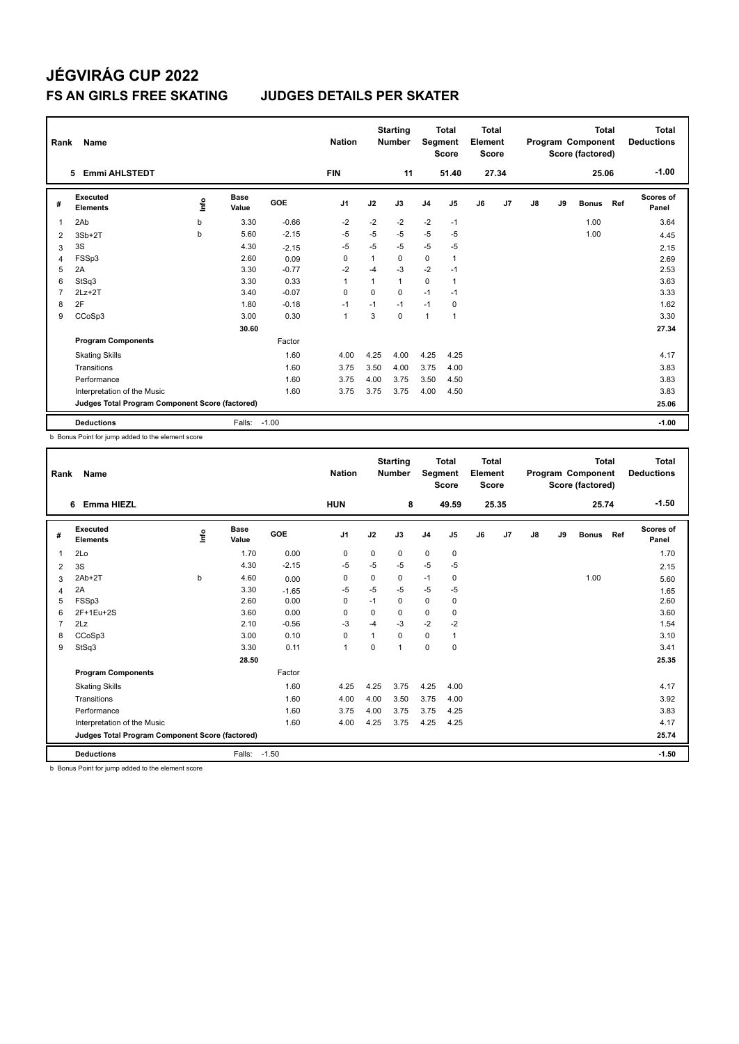| Rank           | Name                                            |      |                      |            | <b>Nation</b>  |             | <b>Starting</b><br><b>Number</b> | Segment        | <b>Total</b><br><b>Score</b> | Total<br>Element<br><b>Score</b> |       |    |    | <b>Total</b><br>Program Component<br>Score (factored) |     | Total<br><b>Deductions</b> |
|----------------|-------------------------------------------------|------|----------------------|------------|----------------|-------------|----------------------------------|----------------|------------------------------|----------------------------------|-------|----|----|-------------------------------------------------------|-----|----------------------------|
|                | <b>Emmi AHLSTEDT</b><br>5                       |      |                      |            | <b>FIN</b>     |             | 11                               |                | 51.40                        |                                  | 27.34 |    |    | 25.06                                                 |     | $-1.00$                    |
| #              | <b>Executed</b><br><b>Elements</b>              | lnfo | <b>Base</b><br>Value | <b>GOE</b> | J <sub>1</sub> | J2          | J3                               | J <sub>4</sub> | J5                           | J6                               | J7    | J8 | J9 | <b>Bonus</b>                                          | Ref | Scores of<br>Panel         |
| 1              | 2Ab                                             | b    | 3.30                 | $-0.66$    | $-2$           | $-2$        | $-2$                             | $-2$           | $-1$                         |                                  |       |    |    | 1.00                                                  |     | 3.64                       |
| 2              | $3Sb+2T$                                        | b    | 5.60                 | $-2.15$    | -5             | $-5$        | $-5$                             | $-5$           | -5                           |                                  |       |    |    | 1.00                                                  |     | 4.45                       |
| 3              | 3S                                              |      | 4.30                 | $-2.15$    | $-5$           | $-5$        | $-5$                             | $-5$           | $-5$                         |                                  |       |    |    |                                                       |     | 2.15                       |
| 4              | FSSp3                                           |      | 2.60                 | 0.09       | 0              | 1           | 0                                | $\mathbf 0$    | $\mathbf{1}$                 |                                  |       |    |    |                                                       |     | 2.69                       |
| 5              | 2A                                              |      | 3.30                 | $-0.77$    | $-2$           | $-4$        | $-3$                             | $-2$           | $-1$                         |                                  |       |    |    |                                                       |     | 2.53                       |
| 6              | StSq3                                           |      | 3.30                 | 0.33       | $\overline{1}$ | 1           | $\mathbf{1}$                     | 0              | $\mathbf{1}$                 |                                  |       |    |    |                                                       |     | 3.63                       |
| $\overline{7}$ | $2Lz+2T$                                        |      | 3.40                 | $-0.07$    | 0              | $\mathbf 0$ | $\mathbf 0$                      | $-1$           | $-1$                         |                                  |       |    |    |                                                       |     | 3.33                       |
| 8              | 2F                                              |      | 1.80                 | $-0.18$    | -1             | $-1$        | $-1$                             | $-1$           | 0                            |                                  |       |    |    |                                                       |     | 1.62                       |
| 9              | CCoSp3                                          |      | 3.00                 | 0.30       | $\overline{1}$ | 3           | $\mathbf 0$                      | $\mathbf{1}$   | 1                            |                                  |       |    |    |                                                       |     | 3.30                       |
|                |                                                 |      | 30.60                |            |                |             |                                  |                |                              |                                  |       |    |    |                                                       |     | 27.34                      |
|                | <b>Program Components</b>                       |      |                      | Factor     |                |             |                                  |                |                              |                                  |       |    |    |                                                       |     |                            |
|                | <b>Skating Skills</b>                           |      |                      | 1.60       | 4.00           | 4.25        | 4.00                             | 4.25           | 4.25                         |                                  |       |    |    |                                                       |     | 4.17                       |
|                | Transitions                                     |      |                      | 1.60       | 3.75           | 3.50        | 4.00                             | 3.75           | 4.00                         |                                  |       |    |    |                                                       |     | 3.83                       |
|                | Performance                                     |      |                      | 1.60       | 3.75           | 4.00        | 3.75                             | 3.50           | 4.50                         |                                  |       |    |    |                                                       |     | 3.83                       |
|                | Interpretation of the Music                     |      |                      | 1.60       | 3.75           | 3.75        | 3.75                             | 4.00           | 4.50                         |                                  |       |    |    |                                                       |     | 3.83                       |
|                | Judges Total Program Component Score (factored) |      |                      |            |                |             |                                  |                |                              |                                  |       |    |    |                                                       |     | 25.06                      |
|                | <b>Deductions</b>                               |      | Falls:               | $-1.00$    |                |             |                                  |                |                              |                                  |       |    |    |                                                       |     | $-1.00$                    |

b Bonus Point for jump added to the element score

| Rank           | <b>Name</b>                                     |       |                      |            | <b>Nation</b> |          | <b>Starting</b><br><b>Number</b> | Segment        | <b>Total</b><br><b>Score</b> | <b>Total</b><br>Element<br><b>Score</b> |                |    |    | Total<br>Program Component<br>Score (factored) |     | <b>Total</b><br><b>Deductions</b> |
|----------------|-------------------------------------------------|-------|----------------------|------------|---------------|----------|----------------------------------|----------------|------------------------------|-----------------------------------------|----------------|----|----|------------------------------------------------|-----|-----------------------------------|
|                | <b>Emma HIEZL</b><br>6                          |       |                      |            | <b>HUN</b>    |          | 8                                |                | 49.59                        |                                         | 25.35          |    |    | 25.74                                          |     | $-1.50$                           |
| #              | <b>Executed</b><br><b>Elements</b>              | Linfo | <b>Base</b><br>Value | <b>GOE</b> | J1            | J2       | J3                               | J <sub>4</sub> | J5                           | J6                                      | J <sub>7</sub> | J8 | J9 | <b>Bonus</b>                                   | Ref | <b>Scores of</b><br>Panel         |
| $\overline{1}$ | 2Lo                                             |       | 1.70                 | 0.00       | 0             | 0        | 0                                | $\mathbf 0$    | 0                            |                                         |                |    |    |                                                |     | 1.70                              |
| 2              | 3S                                              |       | 4.30                 | $-2.15$    | $-5$          | $-5$     | $-5$                             | $-5$           | $-5$                         |                                         |                |    |    |                                                |     | 2.15                              |
| 3              | 2Ab+2T                                          | b     | 4.60                 | 0.00       | 0             | 0        | 0                                | $-1$           | 0                            |                                         |                |    |    | 1.00                                           |     | 5.60                              |
| $\overline{4}$ | 2A                                              |       | 3.30                 | $-1.65$    | $-5$          | $-5$     | $-5$                             | $-5$           | $-5$                         |                                         |                |    |    |                                                |     | 1.65                              |
| 5              | FSSp3                                           |       | 2.60                 | 0.00       | 0             | $-1$     | $\Omega$                         | $\mathbf 0$    | 0                            |                                         |                |    |    |                                                |     | 2.60                              |
| 6              | 2F+1Eu+2S                                       |       | 3.60                 | 0.00       | 0             | 0        | 0                                | 0              | 0                            |                                         |                |    |    |                                                |     | 3.60                              |
| 7              | 2Lz                                             |       | 2.10                 | $-0.56$    | $-3$          | $-4$     | $-3$                             | $-2$           | $-2$                         |                                         |                |    |    |                                                |     | 1.54                              |
| 8              | CCoSp3                                          |       | 3.00                 | 0.10       | $\mathbf 0$   | 1        | 0                                | $\mathbf 0$    | $\mathbf{1}$                 |                                         |                |    |    |                                                |     | 3.10                              |
| 9              | StSq3                                           |       | 3.30                 | 0.11       | $\mathbf{1}$  | $\Omega$ | 1                                | $\mathbf 0$    | 0                            |                                         |                |    |    |                                                |     | 3.41                              |
|                |                                                 |       | 28.50                |            |               |          |                                  |                |                              |                                         |                |    |    |                                                |     | 25.35                             |
|                | <b>Program Components</b>                       |       |                      | Factor     |               |          |                                  |                |                              |                                         |                |    |    |                                                |     |                                   |
|                | <b>Skating Skills</b>                           |       |                      | 1.60       | 4.25          | 4.25     | 3.75                             | 4.25           | 4.00                         |                                         |                |    |    |                                                |     | 4.17                              |
|                | Transitions                                     |       |                      | 1.60       | 4.00          | 4.00     | 3.50                             | 3.75           | 4.00                         |                                         |                |    |    |                                                |     | 3.92                              |
|                | Performance                                     |       |                      | 1.60       | 3.75          | 4.00     | 3.75                             | 3.75           | 4.25                         |                                         |                |    |    |                                                |     | 3.83                              |
|                | Interpretation of the Music                     |       |                      | 1.60       | 4.00          | 4.25     | 3.75                             | 4.25           | 4.25                         |                                         |                |    |    |                                                |     | 4.17                              |
|                | Judges Total Program Component Score (factored) |       |                      |            |               |          |                                  |                |                              |                                         |                |    |    |                                                |     | 25.74                             |
|                | <b>Deductions</b>                               |       | Falls:               | $-1.50$    |               |          |                                  |                |                              |                                         |                |    |    |                                                |     | $-1.50$                           |

b Bonus Point for jump added to the element score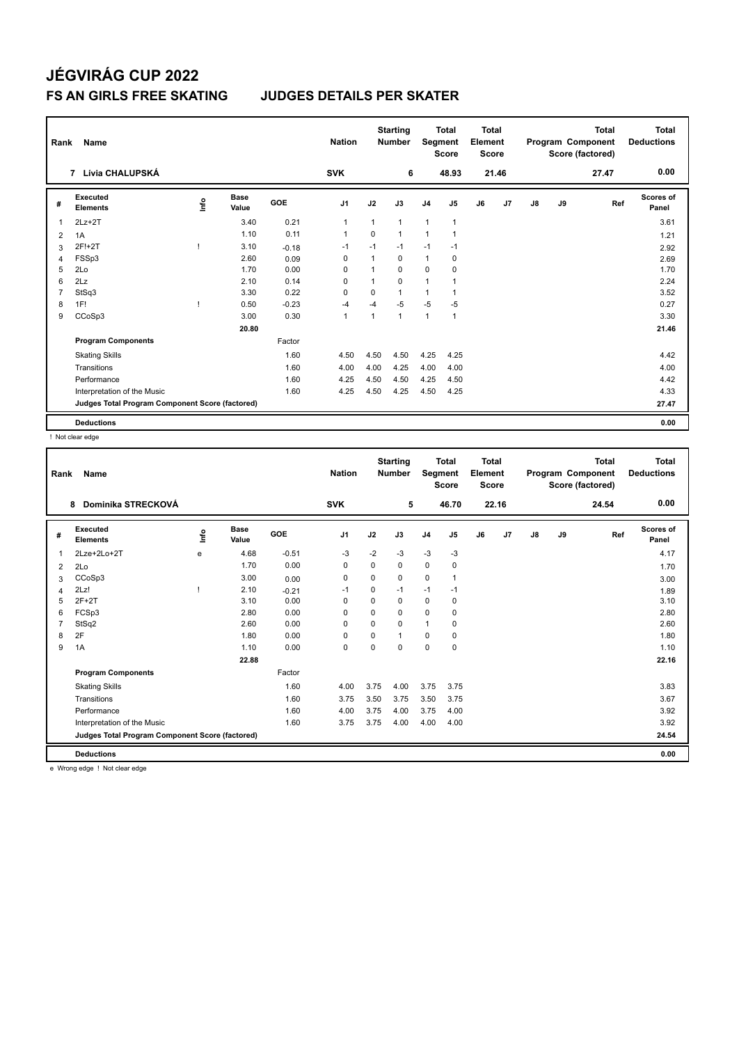| Rank           | Name                                            |       |                      |            | <b>Nation</b>  |             | <b>Starting</b><br><b>Number</b> | Segment        | <b>Total</b><br><b>Score</b> | <b>Total</b><br>Element<br><b>Score</b> |       |               |    | <b>Total</b><br>Program Component<br>Score (factored) | Total<br><b>Deductions</b> |
|----------------|-------------------------------------------------|-------|----------------------|------------|----------------|-------------|----------------------------------|----------------|------------------------------|-----------------------------------------|-------|---------------|----|-------------------------------------------------------|----------------------------|
|                | 7 Lívia CHALUPSKÁ                               |       |                      |            | <b>SVK</b>     |             | 6                                |                | 48.93                        |                                         | 21.46 |               |    | 27.47                                                 | 0.00                       |
| #              | <b>Executed</b><br><b>Elements</b>              | Linfo | <b>Base</b><br>Value | <b>GOE</b> | J1             | J2          | J3                               | J <sub>4</sub> | J <sub>5</sub>               | J6                                      | J7    | $\mathsf{J}8$ | J9 | Ref                                                   | Scores of<br>Panel         |
| 1              | $2Lz+2T$                                        |       | 3.40                 | 0.21       | $\overline{1}$ | 1           | $\mathbf{1}$                     | $\mathbf{1}$   | $\mathbf{1}$                 |                                         |       |               |    |                                                       | 3.61                       |
| 2              | 1A                                              |       | 1.10                 | 0.11       | $\overline{1}$ | $\mathbf 0$ | $\mathbf{1}$                     | $\mathbf{1}$   | $\mathbf{1}$                 |                                         |       |               |    |                                                       | 1.21                       |
| 3              | 2F!+2T                                          |       | 3.10                 | $-0.18$    | $-1$           | $-1$        | $-1$                             | $-1$           | $-1$                         |                                         |       |               |    |                                                       | 2.92                       |
| $\overline{4}$ | FSSp3                                           |       | 2.60                 | 0.09       | 0              | 1           | $\mathbf 0$                      | $\mathbf{1}$   | $\mathbf 0$                  |                                         |       |               |    |                                                       | 2.69                       |
| 5              | 2Lo                                             |       | 1.70                 | 0.00       | $\Omega$       |             | $\Omega$                         | $\Omega$       | 0                            |                                         |       |               |    |                                                       | 1.70                       |
| 6              | 2Lz                                             |       | 2.10                 | 0.14       | $\Omega$       |             | $\Omega$                         | 1              |                              |                                         |       |               |    |                                                       | 2.24                       |
| $\overline{7}$ | StSq3                                           |       | 3.30                 | 0.22       | $\Omega$       | $\Omega$    | $\mathbf{1}$                     | 1              | 1                            |                                         |       |               |    |                                                       | 3.52                       |
| 8              | 1F!                                             |       | 0.50                 | $-0.23$    | $-4$           | $-4$        | $-5$                             | $-5$           | $-5$                         |                                         |       |               |    |                                                       | 0.27                       |
| 9              | CCoSp3                                          |       | 3.00                 | 0.30       | $\overline{1}$ |             | $\mathbf{1}$                     | $\mathbf{1}$   | $\mathbf{1}$                 |                                         |       |               |    |                                                       | 3.30                       |
|                |                                                 |       | 20.80                |            |                |             |                                  |                |                              |                                         |       |               |    |                                                       | 21.46                      |
|                | <b>Program Components</b>                       |       |                      | Factor     |                |             |                                  |                |                              |                                         |       |               |    |                                                       |                            |
|                | <b>Skating Skills</b>                           |       |                      | 1.60       | 4.50           | 4.50        | 4.50                             | 4.25           | 4.25                         |                                         |       |               |    |                                                       | 4.42                       |
|                | Transitions                                     |       |                      | 1.60       | 4.00           | 4.00        | 4.25                             | 4.00           | 4.00                         |                                         |       |               |    |                                                       | 4.00                       |
|                | Performance                                     |       |                      | 1.60       | 4.25           | 4.50        | 4.50                             | 4.25           | 4.50                         |                                         |       |               |    |                                                       | 4.42                       |
|                | Interpretation of the Music                     |       |                      | 1.60       | 4.25           | 4.50        | 4.25                             | 4.50           | 4.25                         |                                         |       |               |    |                                                       | 4.33                       |
|                | Judges Total Program Component Score (factored) |       |                      |            |                |             |                                  |                |                              |                                         |       |               |    |                                                       | 27.47                      |
|                | <b>Deductions</b>                               |       |                      |            |                |             |                                  |                |                              |                                         |       |               |    |                                                       | 0.00                       |

! Not clear edge

| Rank | <b>Name</b>                                     |      |                      |         | <b>Nation</b>  |             | <b>Starting</b><br><b>Number</b> | Segment        | <b>Total</b><br><b>Score</b> | <b>Total</b><br>Element<br><b>Score</b> |       |               |    | <b>Total</b><br>Program Component<br>Score (factored) | <b>Total</b><br><b>Deductions</b> |
|------|-------------------------------------------------|------|----------------------|---------|----------------|-------------|----------------------------------|----------------|------------------------------|-----------------------------------------|-------|---------------|----|-------------------------------------------------------|-----------------------------------|
|      | Dominika STRECKOVÁ<br>8                         |      |                      |         | <b>SVK</b>     |             | 5                                |                | 46.70                        |                                         | 22.16 |               |    | 24.54                                                 | 0.00                              |
| #    | Executed<br><b>Elements</b>                     | Info | <b>Base</b><br>Value | GOE     | J <sub>1</sub> | J2          | J3                               | J <sub>4</sub> | J <sub>5</sub>               | J6                                      | J7    | $\mathsf{J}8$ | J9 | Ref                                                   | Scores of<br>Panel                |
| 1    | 2Lze+2Lo+2T                                     | e    | 4.68                 | $-0.51$ | -3             | $-2$        | $-3$                             | $-3$           | $-3$                         |                                         |       |               |    |                                                       | 4.17                              |
| 2    | 2Lo                                             |      | 1.70                 | 0.00    | 0              | $\Omega$    | $\Omega$                         | $\mathbf 0$    | 0                            |                                         |       |               |    |                                                       | 1.70                              |
| 3    | CCoSp3                                          |      | 3.00                 | 0.00    | 0              | $\mathbf 0$ | 0                                | $\mathbf 0$    |                              |                                         |       |               |    |                                                       | 3.00                              |
| 4    | 2Lz!                                            |      | 2.10                 | $-0.21$ | $-1$           | 0           | $-1$                             | $-1$           | $-1$                         |                                         |       |               |    |                                                       | 1.89                              |
| 5    | $2F+2T$                                         |      | 3.10                 | 0.00    | 0              | 0           | 0                                | 0              | 0                            |                                         |       |               |    |                                                       | 3.10                              |
| 6    | FCSp3                                           |      | 2.80                 | 0.00    | 0              | 0           | 0                                | $\mathbf 0$    | 0                            |                                         |       |               |    |                                                       | 2.80                              |
|      | StSq2                                           |      | 2.60                 | 0.00    | $\Omega$       | $\Omega$    | $\Omega$                         | $\mathbf{1}$   | 0                            |                                         |       |               |    |                                                       | 2.60                              |
| 8    | 2F                                              |      | 1.80                 | 0.00    | 0              | 0           | 1                                | $\mathbf 0$    | 0                            |                                         |       |               |    |                                                       | 1.80                              |
| 9    | 1A                                              |      | 1.10                 | 0.00    | $\mathbf 0$    | 0           | $\Omega$                         | $\mathbf 0$    | $\mathbf 0$                  |                                         |       |               |    |                                                       | 1.10                              |
|      |                                                 |      | 22.88                |         |                |             |                                  |                |                              |                                         |       |               |    |                                                       | 22.16                             |
|      | <b>Program Components</b>                       |      |                      | Factor  |                |             |                                  |                |                              |                                         |       |               |    |                                                       |                                   |
|      | <b>Skating Skills</b>                           |      |                      | 1.60    | 4.00           | 3.75        | 4.00                             | 3.75           | 3.75                         |                                         |       |               |    |                                                       | 3.83                              |
|      | Transitions                                     |      |                      | 1.60    | 3.75           | 3.50        | 3.75                             | 3.50           | 3.75                         |                                         |       |               |    |                                                       | 3.67                              |
|      | Performance                                     |      |                      | 1.60    | 4.00           | 3.75        | 4.00                             | 3.75           | 4.00                         |                                         |       |               |    |                                                       | 3.92                              |
|      | Interpretation of the Music                     |      |                      | 1.60    | 3.75           | 3.75        | 4.00                             | 4.00           | 4.00                         |                                         |       |               |    |                                                       | 3.92                              |
|      | Judges Total Program Component Score (factored) |      |                      |         |                |             |                                  |                |                              |                                         |       |               |    |                                                       | 24.54                             |
|      | <b>Deductions</b>                               |      |                      |         |                |             |                                  |                |                              |                                         |       |               |    |                                                       | 0.00                              |

e Wrong edge ! Not clear edge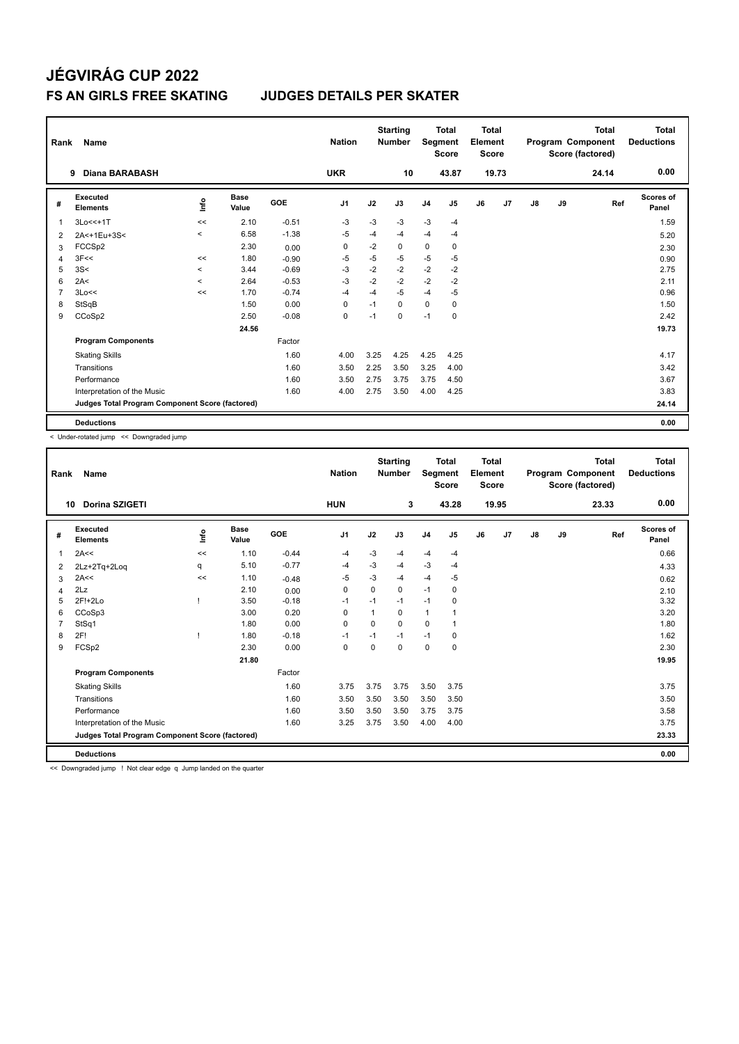| Rank           | Name                                            |                          |                      |            | <b>Nation</b>  |      | <b>Starting</b><br><b>Number</b> |                | <b>Total</b><br>Segment<br><b>Score</b> | <b>Total</b><br>Element<br><b>Score</b> |       |               |    | <b>Total</b><br>Program Component<br>Score (factored) | Total<br><b>Deductions</b> |
|----------------|-------------------------------------------------|--------------------------|----------------------|------------|----------------|------|----------------------------------|----------------|-----------------------------------------|-----------------------------------------|-------|---------------|----|-------------------------------------------------------|----------------------------|
|                | <b>Diana BARABASH</b><br>9                      |                          |                      |            | <b>UKR</b>     |      | 10                               |                | 43.87                                   |                                         | 19.73 |               |    | 24.14                                                 | 0.00                       |
| #              | Executed<br><b>Elements</b>                     | ١nf٥                     | <b>Base</b><br>Value | <b>GOE</b> | J <sub>1</sub> | J2   | J3                               | J <sub>4</sub> | J <sub>5</sub>                          | J6                                      | J7    | $\mathsf{J}8$ | J9 | Ref                                                   | <b>Scores of</b><br>Panel  |
| 1              | 3Lo<<+1T                                        | <<                       | 2.10                 | $-0.51$    | $-3$           | $-3$ | $-3$                             | $-3$           | $-4$                                    |                                         |       |               |    |                                                       | 1.59                       |
| 2              | 2A<+1Eu+3S<                                     | $\prec$                  | 6.58                 | $-1.38$    | $-5$           | $-4$ | $-4$                             | $-4$           | $-4$                                    |                                         |       |               |    |                                                       | 5.20                       |
| 3              | FCCS <sub>p2</sub>                              |                          | 2.30                 | 0.00       | 0              | $-2$ | 0                                | 0              | 0                                       |                                         |       |               |    |                                                       | 2.30                       |
| $\overline{4}$ | 3F<<                                            | <<                       | 1.80                 | $-0.90$    | $-5$           | $-5$ | $-5$                             | $-5$           | $-5$                                    |                                         |       |               |    |                                                       | 0.90                       |
| 5              | 3S<                                             | $\overline{\phantom{a}}$ | 3.44                 | $-0.69$    | $-3$           | $-2$ | $-2$                             | $-2$           | $-2$                                    |                                         |       |               |    |                                                       | 2.75                       |
| 6              | 2A<                                             | $\overline{\phantom{0}}$ | 2.64                 | $-0.53$    | -3             | $-2$ | $-2$                             | $-2$           | $-2$                                    |                                         |       |               |    |                                                       | 2.11                       |
| $\overline{7}$ | 3Lo<<                                           | <<                       | 1.70                 | $-0.74$    | $-4$           | $-4$ | $-5$                             | $-4$           | $-5$                                    |                                         |       |               |    |                                                       | 0.96                       |
| 8              | StSqB                                           |                          | 1.50                 | 0.00       | $\Omega$       | $-1$ | $\Omega$                         | 0              | $\mathbf 0$                             |                                         |       |               |    |                                                       | 1.50                       |
| 9              | CCoSp2                                          |                          | 2.50                 | $-0.08$    | 0              | $-1$ | 0                                | $-1$           | 0                                       |                                         |       |               |    |                                                       | 2.42                       |
|                |                                                 |                          | 24.56                |            |                |      |                                  |                |                                         |                                         |       |               |    |                                                       | 19.73                      |
|                | <b>Program Components</b>                       |                          |                      | Factor     |                |      |                                  |                |                                         |                                         |       |               |    |                                                       |                            |
|                | <b>Skating Skills</b>                           |                          |                      | 1.60       | 4.00           | 3.25 | 4.25                             | 4.25           | 4.25                                    |                                         |       |               |    |                                                       | 4.17                       |
|                | Transitions                                     |                          |                      | 1.60       | 3.50           | 2.25 | 3.50                             | 3.25           | 4.00                                    |                                         |       |               |    |                                                       | 3.42                       |
|                | Performance                                     |                          |                      | 1.60       | 3.50           | 2.75 | 3.75                             | 3.75           | 4.50                                    |                                         |       |               |    |                                                       | 3.67                       |
|                | Interpretation of the Music                     |                          |                      | 1.60       | 4.00           | 2.75 | 3.50                             | 4.00           | 4.25                                    |                                         |       |               |    |                                                       | 3.83                       |
|                | Judges Total Program Component Score (factored) |                          |                      |            |                |      |                                  |                |                                         |                                         |       |               |    |                                                       | 24.14                      |
|                | <b>Deductions</b>                               |                          |                      |            |                |      |                                  |                |                                         |                                         |       |               |    |                                                       | 0.00                       |

< Under-rotated jump << Downgraded jump

| Rank | Name                                            |             |                      |         | <b>Nation</b>  |                | <b>Starting</b><br><b>Number</b> | Segment        | <b>Total</b><br><b>Score</b> | <b>Total</b><br>Element<br><b>Score</b> |       |               |    | <b>Total</b><br>Program Component<br>Score (factored) | <b>Total</b><br><b>Deductions</b> |
|------|-------------------------------------------------|-------------|----------------------|---------|----------------|----------------|----------------------------------|----------------|------------------------------|-----------------------------------------|-------|---------------|----|-------------------------------------------------------|-----------------------------------|
| 10   | <b>Dorina SZIGETI</b>                           |             |                      |         | <b>HUN</b>     |                | 3                                |                | 43.28                        |                                         | 19.95 |               |    | 23.33                                                 | 0.00                              |
| #    | Executed<br><b>Elements</b>                     | <u>lnfo</u> | <b>Base</b><br>Value | GOE     | J <sub>1</sub> | J2             | J3                               | J <sub>4</sub> | J5                           | J6                                      | J7    | $\mathsf{J}8$ | J9 | Ref                                                   | <b>Scores of</b><br>Panel         |
| 1    | 2A<<                                            | <<          | 1.10                 | $-0.44$ | $-4$           | $-3$           | -4                               | $-4$           | $-4$                         |                                         |       |               |    |                                                       | 0.66                              |
| 2    | 2Lz+2Tq+2Loq                                    | q           | 5.10                 | $-0.77$ | $-4$           | $-3$           | $-4$                             | $-3$           | $-4$                         |                                         |       |               |    |                                                       | 4.33                              |
| 3    | 2A<<                                            | <<          | 1.10                 | $-0.48$ | $-5$           | -3             | $-4$                             | $-4$           | -5                           |                                         |       |               |    |                                                       | 0.62                              |
| 4    | 2Lz                                             |             | 2.10                 | 0.00    | $\Omega$       | $\Omega$       | $\Omega$                         | $-1$           | 0                            |                                         |       |               |    |                                                       | 2.10                              |
| 5    | 2F!+2Lo                                         |             | 3.50                 | $-0.18$ | $-1$           | $-1$           | $-1$                             | $-1$           | $\mathbf 0$                  |                                         |       |               |    |                                                       | 3.32                              |
| 6    | CCoSp3                                          |             | 3.00                 | 0.20    | $\Omega$       | $\overline{1}$ | $\Omega$                         | $\mathbf{1}$   |                              |                                         |       |               |    |                                                       | 3.20                              |
| 7    | StSq1                                           |             | 1.80                 | 0.00    | 0              | $\Omega$       | 0                                | 0              |                              |                                         |       |               |    |                                                       | 1.80                              |
| 8    | 2F!                                             |             | 1.80                 | $-0.18$ | $-1$           | $-1$           | $-1$                             | $-1$           | 0                            |                                         |       |               |    |                                                       | 1.62                              |
| 9    | FCSp2                                           |             | 2.30                 | 0.00    | $\mathbf 0$    | $\Omega$       | 0                                | $\mathbf 0$    | $\mathbf 0$                  |                                         |       |               |    |                                                       | 2.30                              |
|      |                                                 |             | 21.80                |         |                |                |                                  |                |                              |                                         |       |               |    |                                                       | 19.95                             |
|      | <b>Program Components</b>                       |             |                      | Factor  |                |                |                                  |                |                              |                                         |       |               |    |                                                       |                                   |
|      | <b>Skating Skills</b>                           |             |                      | 1.60    | 3.75           | 3.75           | 3.75                             | 3.50           | 3.75                         |                                         |       |               |    |                                                       | 3.75                              |
|      | Transitions                                     |             |                      | 1.60    | 3.50           | 3.50           | 3.50                             | 3.50           | 3.50                         |                                         |       |               |    |                                                       | 3.50                              |
|      | Performance                                     |             |                      | 1.60    | 3.50           | 3.50           | 3.50                             | 3.75           | 3.75                         |                                         |       |               |    |                                                       | 3.58                              |
|      | Interpretation of the Music                     |             |                      | 1.60    | 3.25           | 3.75           | 3.50                             | 4.00           | 4.00                         |                                         |       |               |    |                                                       | 3.75                              |
|      | Judges Total Program Component Score (factored) |             |                      |         |                |                |                                  |                |                              |                                         |       |               |    |                                                       | 23.33                             |
|      | <b>Deductions</b>                               |             |                      |         |                |                |                                  |                |                              |                                         |       |               |    |                                                       | 0.00                              |

<< Downgraded jump ! Not clear edge q Jump landed on the quarter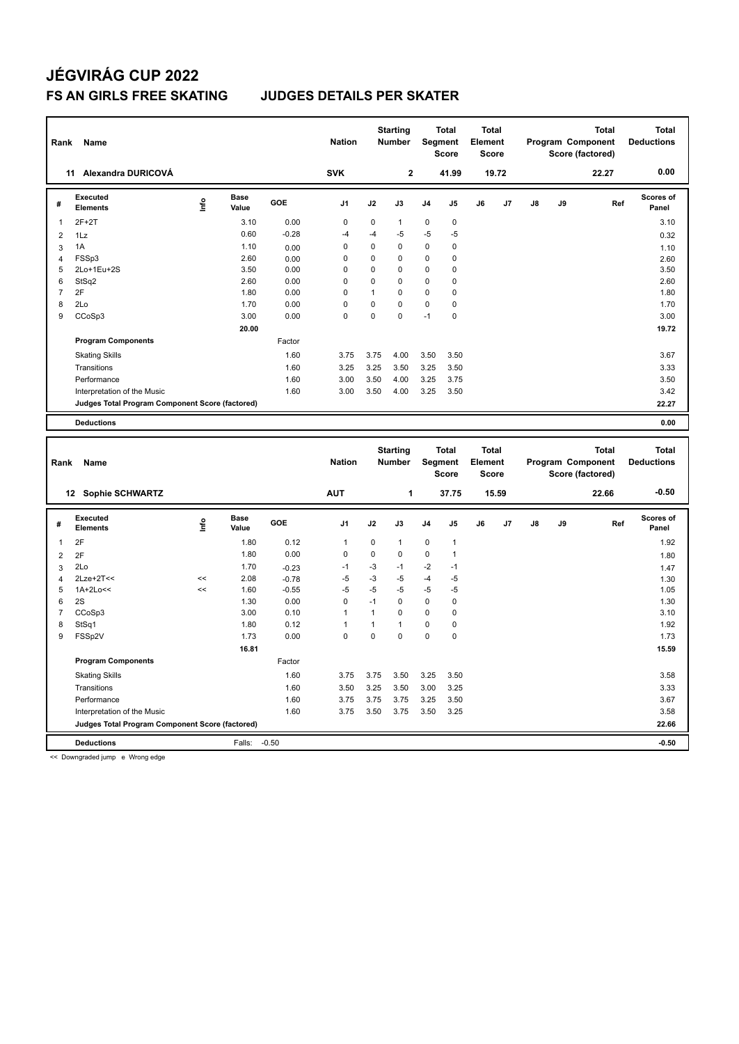| Rank                | Name                                                                 |      |                      |                    | <b>Nation</b>  |              | <b>Starting</b><br><b>Number</b> |              | <b>Total</b><br><b>Segment</b><br><b>Score</b> | <b>Total</b><br>Element<br><b>Score</b> |       |    | Program Component | <b>Total</b><br>Score (factored) |     | <b>Total</b><br><b>Deductions</b> |
|---------------------|----------------------------------------------------------------------|------|----------------------|--------------------|----------------|--------------|----------------------------------|--------------|------------------------------------------------|-----------------------------------------|-------|----|-------------------|----------------------------------|-----|-----------------------------------|
|                     | 11 Alexandra DURICOVÁ                                                |      |                      |                    | <b>SVK</b>     |              | $\mathbf{2}$                     |              | 41.99                                          |                                         | 19.72 |    |                   | 22.27                            |     | 0.00                              |
| #                   | Executed<br><b>Elements</b>                                          | ۴ů   | Base<br>Value        | GOE                | J <sub>1</sub> | J2           | J3                               | J4           | J5                                             | J6                                      | J7    | J8 | J9                |                                  | Ref | <b>Scores of</b><br>Panel         |
| $\mathbf{1}$        | $2F+2T$                                                              |      | 3.10                 | 0.00               | $\mathbf 0$    | $\mathbf 0$  | $\mathbf{1}$                     | $\mathbf 0$  | $\mathbf 0$                                    |                                         |       |    |                   |                                  |     | 3.10                              |
| $\overline{2}$      | 1Lz                                                                  |      | 0.60                 | $-0.28$            | $-4$           | $-4$         | -5                               | $-5$         | $-5$                                           |                                         |       |    |                   |                                  |     | 0.32                              |
| 3                   | 1A                                                                   |      | 1.10                 | 0.00               | 0              | $\pmb{0}$    | $\mathbf 0$                      | 0            | $\pmb{0}$                                      |                                         |       |    |                   |                                  |     | 1.10                              |
| $\overline{4}$      | FSSp3                                                                |      | 2.60                 | 0.00               | 0              | 0            | $\mathbf 0$                      | $\mathbf 0$  | $\mathbf 0$                                    |                                         |       |    |                   |                                  |     | 2.60                              |
| 5                   | 2Lo+1Eu+2S                                                           |      | 3.50                 | 0.00               | 0              | 0            | $\mathbf 0$                      | $\mathbf 0$  | $\pmb{0}$                                      |                                         |       |    |                   |                                  |     | 3.50                              |
| 6                   | StSq2                                                                |      | 2.60                 | 0.00               | 0              | 0            | $\mathbf 0$                      | $\mathbf 0$  | $\mathbf 0$                                    |                                         |       |    |                   |                                  |     | 2.60                              |
| $\overline{7}$      | 2F                                                                   |      | 1.80                 | 0.00               | 0              | $\mathbf{1}$ | $\Omega$                         | $\mathbf 0$  | $\mathbf 0$                                    |                                         |       |    |                   |                                  |     | 1.80                              |
| 8                   | 2Lo                                                                  |      | 1.70                 | 0.00               | 0              | 0            | $\mathbf 0$                      | 0            | $\pmb{0}$                                      |                                         |       |    |                   |                                  |     | 1.70                              |
| 9                   | CCoSp3                                                               |      | 3.00                 | 0.00               | $\Omega$       | 0            | $\Omega$                         | $-1$         | 0                                              |                                         |       |    |                   |                                  |     | 3.00                              |
|                     |                                                                      |      | 20.00                |                    |                |              |                                  |              |                                                |                                         |       |    |                   |                                  |     | 19.72                             |
|                     | <b>Program Components</b>                                            |      |                      | Factor             |                |              |                                  |              |                                                |                                         |       |    |                   |                                  |     |                                   |
|                     | <b>Skating Skills</b>                                                |      |                      | 1.60               | 3.75           | 3.75         | 4.00                             | 3.50         | 3.50                                           |                                         |       |    |                   |                                  |     | 3.67                              |
|                     | Transitions                                                          |      |                      | 1.60               | 3.25           | 3.25         | 3.50                             | 3.25         | 3.50                                           |                                         |       |    |                   |                                  |     | 3.33                              |
|                     | Performance                                                          |      |                      | 1.60               | 3.00           | 3.50         | 4.00                             | 3.25         | 3.75                                           |                                         |       |    |                   |                                  |     | 3.50                              |
|                     | Interpretation of the Music                                          |      |                      | 1.60               | 3.00           | 3.50         | 4.00                             | 3.25         | 3.50                                           |                                         |       |    |                   |                                  |     | 3.42                              |
|                     | Judges Total Program Component Score (factored)                      |      |                      |                    |                |              |                                  |              |                                                |                                         |       |    |                   |                                  |     | 22.27                             |
|                     |                                                                      |      |                      |                    |                |              |                                  |              |                                                |                                         |       |    |                   |                                  |     |                                   |
|                     | <b>Deductions</b>                                                    |      |                      |                    |                |              |                                  |              |                                                |                                         |       |    |                   |                                  |     | 0.00                              |
|                     |                                                                      |      |                      |                    |                |              |                                  |              |                                                |                                         |       |    |                   |                                  |     |                                   |
| Rank                | Name                                                                 |      |                      |                    | <b>Nation</b>  |              | <b>Starting</b><br>Number        |              | <b>Total</b><br><b>Segment</b><br>Score        | <b>Total</b><br>Element<br><b>Score</b> |       |    | Program Component | <b>Total</b><br>Score (factored) |     | <b>Total</b><br><b>Deductions</b> |
|                     | 12 Sophie SCHWARTZ                                                   |      |                      |                    | <b>AUT</b>     |              | 1                                |              | 37.75                                          |                                         | 15.59 |    |                   | 22.66                            |     | $-0.50$                           |
| #                   | <b>Executed</b><br><b>Elements</b>                                   | ١nf٥ | <b>Base</b><br>Value | GOE                | J <sub>1</sub> | J2           | J3                               | J4           | J5                                             | J6                                      | J7    | J8 | J9                |                                  | Ref | Scores of<br>Panel                |
| 1                   | 2F                                                                   |      | 1.80                 | 0.12               | $\mathbf{1}$   | $\pmb{0}$    | $\mathbf{1}$                     | $\mathbf 0$  | $\mathbf{1}$                                   |                                         |       |    |                   |                                  |     | 1.92                              |
|                     |                                                                      |      | 1.80                 | 0.00               | 0              | 0            | $\mathbf 0$                      | $\mathbf 0$  | $\mathbf{1}$                                   |                                         |       |    |                   |                                  |     |                                   |
| $\overline{2}$      | 2F<br>2Lo                                                            |      | 1.70                 |                    | $-1$           | $-3$         | $-1$                             | $-2$         | $-1$                                           |                                         |       |    |                   |                                  |     | 1.80                              |
| 3<br>$\overline{4}$ | $2$ Lze+ $2$ T<<                                                     | <<   | 2.08                 | $-0.23$            | $-5$           | $-3$         | $-5$                             | $-4$         | $-5$                                           |                                         |       |    |                   |                                  |     | 1.47                              |
| 5                   | 1A+2Lo<<                                                             | <<   | 1.60                 | $-0.78$<br>$-0.55$ | $-5$           | $-5$         | $-5$                             | $-5$         | $-5$                                           |                                         |       |    |                   |                                  |     | 1.30<br>1.05                      |
| 6                   | 2S                                                                   |      | 1.30                 | 0.00               | 0              | $-1$         | $\mathbf 0$                      | $\mathbf 0$  | $\mathbf 0$                                    |                                         |       |    |                   |                                  |     | 1.30                              |
| $\overline{7}$      | CCoSp3                                                               |      | 3.00                 | 0.10               | $\mathbf{1}$   | $\mathbf{1}$ | $\mathbf 0$                      | $\mathbf 0$  | $\mathbf 0$                                    |                                         |       |    |                   |                                  |     | 3.10                              |
| 8                   | StSq1                                                                |      | 1.80                 | 0.12               | 1              | $\mathbf{1}$ | $\mathbf{1}$                     | 0            | 0                                              |                                         |       |    |                   |                                  |     | 1.92                              |
| 9                   | FSSp2V                                                               |      | 1.73                 | 0.00               | $\mathbf 0$    | 0            | $\mathbf 0$                      | $\mathbf 0$  | $\pmb{0}$                                      |                                         |       |    |                   |                                  |     | 1.73                              |
|                     |                                                                      |      | 16.81                |                    |                |              |                                  |              |                                                |                                         |       |    |                   |                                  |     | 15.59                             |
|                     | <b>Program Components</b>                                            |      |                      | Factor             |                |              |                                  |              |                                                |                                         |       |    |                   |                                  |     |                                   |
|                     |                                                                      |      |                      | 1.60               | 3.75           | 3.75         | 3.50                             | 3.25         | 3.50                                           |                                         |       |    |                   |                                  |     | 3.58                              |
|                     | <b>Skating Skills</b>                                                |      |                      |                    |                |              |                                  |              |                                                |                                         |       |    |                   |                                  |     |                                   |
|                     | Transitions                                                          |      |                      | 1.60               | 3.50           | 3.25         | 3.50                             | 3.00         | 3.25                                           |                                         |       |    |                   |                                  |     | 3.33                              |
|                     | Performance<br>Interpretation of the Music                           |      |                      | 1.60<br>1.60       | 3.75<br>3.75   | 3.75<br>3.50 | 3.75<br>3.75                     | 3.25<br>3.50 | 3.50<br>3.25                                   |                                         |       |    |                   |                                  |     | 3.67<br>3.58                      |
|                     |                                                                      |      |                      |                    |                |              |                                  |              |                                                |                                         |       |    |                   |                                  |     | 22.66                             |
|                     | Judges Total Program Component Score (factored)<br><b>Deductions</b> |      | Falls:               | $-0.50$            |                |              |                                  |              |                                                |                                         |       |    |                   |                                  |     | $-0.50$                           |

<< Downgraded jump e Wrong edge